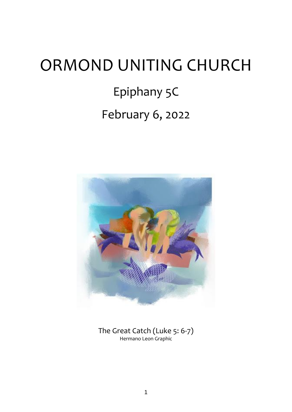# ORMOND UNITING CHURCH Epiphany 5C February 6, 2022



The Great Catch (Luke 5: 6-7) Hermano Leon Graphic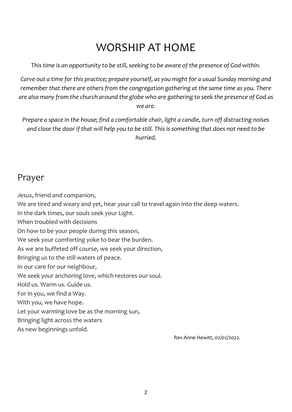# WORSHIP AT HOME

*This time is an opportunity to be still, seeking to be aware of the presence of God within.*

*Carve out a time for this practice; prepare yourself, as you might for a usual Sunday morning and remember that there are others from the congregation gathering at the same time as you. There are also many from the church around the globe who are gathering to seek the presence of God as we are.*

*Prepare a space in the house; find a comfortable chair, light a candle, turn off distracting noises and close the door if that will help you to be still. This is something that does not need to be hurried.*

# Prayer

Jesus, friend and companion,

We are tired and weary and yet, hear your call to travel again into the deep waters.

In the dark times, our souls seek your Light.

When troubled with decisions

On how to be your people during this season,

We seek your comforting yoke to bear the burden.

As we are buffeted off course, we seek your direction,

Bringing us to the still waters of peace.

In our care for our neighbour,

We seek your anchoring love, which restores our soul.

Hold us. Warm us. Guide us.

For in you, we find a Way.

With you, we have hope.

Let your warming love be as the morning sun,

Bringing light across the waters

As new beginnings unfold.

Rev Anne Hewitt, 02/02/2022.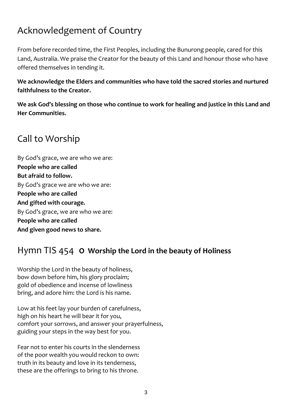# Acknowledgement of Country

From before recorded time, the First Peoples, including the Bunurong people, cared for this Land, Australia. We praise the Creator for the beauty of this Land and honour those who have offered themselves in tending it.

**We acknowledge the Elders and communities who have told the sacred stories and nurtured faithfulness to the Creator.**

**We ask God's blessing on those who continue to work for healing and justice in this Land and Her Communities.**

# Call to Worship

By God's grace, we are who we are: **People who are called But afraid to follow.** By God's grace we are who we are: **People who are called And gifted with courage.** By God's grace, we are who we are: **People who are called And given good news to share.**

# Hymn TIS 454 **O Worship the Lord in the beauty of Holiness**

Worship the Lord in the beauty of holiness, bow down before him, his glory proclaim; gold of obedience and incense of lowliness bring, and adore him: the Lord is his name.

Low at his feet lay your burden of carefulness, high on his heart he will bear it for you, comfort your sorrows, and answer your prayerfulness, guiding your steps in the way best for you.

Fear not to enter his courts in the slenderness of the poor wealth you would reckon to own: truth in its beauty and love in its tenderness, these are the offerings to bring to his throne.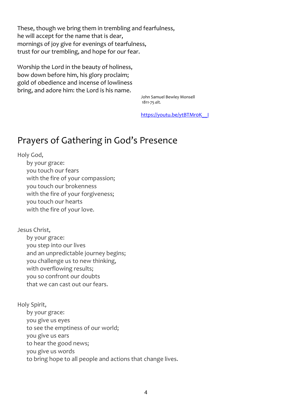These, though we bring them in trembling and fearfulness, he will accept for the name that is dear, mornings of joy give for evenings of tearfulness, trust for our trembling, and hope for our fear.

Worship the Lord in the beauty of holiness, bow down before him, his glory proclaim; gold of obedience and incense of lowliness bring, and adore him: the Lord is his name.

> John Samuel Bewley Monsell 1811-75 *alt.*

[https://youtu.be/ytBTMr0K\\_\\_I](https://youtu.be/ytBTMr0K__I)

## Prayers of Gathering in God's Presence

Holy God,

by your grace: you touch our fears with the fire of your compassion; you touch our brokenness with the fire of your forgiveness; you touch our hearts with the fire of your love.

Jesus Christ,

by your grace: you step into our lives and an unpredictable journey begins; you challenge us to new thinking, with overflowing results; you so confront our doubts that we can cast out our fears.

Holy Spirit,

by your grace: you give us eyes to see the emptiness of our world; you give us ears to hear the good news; you give us words to bring hope to all people and actions that change lives.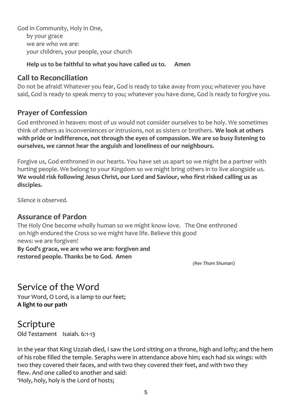God in Community, Holy in One, by your grace we are who we are: your children, your people, your church

### **Help us to be faithful to what you have called us to. Amen**

## **Call to Reconciliation**

Do not be afraid! Whatever you fear, God is ready to take away from you; whatever you have said, God is ready to speak mercy to you; whatever you have done, God is ready to forgive you.

## **Prayer of Confession**

God enthroned in heaven: most of us would not consider ourselves to be holy. We sometimes think of others as inconveniences or intrusions, not as sisters or brothers. **We look at others with pride or indifference, not through the eyes of compassion. We are so busy listening to ourselves, we cannot hear the anguish and loneliness of our neighbours.**

Forgive us, God enthroned in our hearts. You have set us apart so we might be a partner with hurting people. We belong to your Kingdom so we might bring others in to live alongside us. **We would risk following Jesus Christ, our Lord and Saviour, who first risked calling us as disciples.**

*Silence is observed.*

## **Assurance of Pardon**

The Holy One become wholly human so we might know love. The One enthroned on high endured the Cross so we might have life. Believe this good news: we are forgiven! **By God's grace, we are who we are: forgiven and restored people. Thanks be to God. Amen** 

(Rev Thom Shuman)

# Service of the Word

Your Word, O Lord, is a lamp to our feet; **A light to our path**

# Scripture

Old Testament Isaiah. 6:1-13

In the year that King Uzziah died, I saw the Lord sitting on a throne, high and lofty; and the hem of his robe filled the temple. Seraphs were in attendance above him; each had six wings: with two they covered their faces, and with two they covered their feet, and with two they flew. And one called to another and said: 'Holy, holy, holy is the Lord of hosts;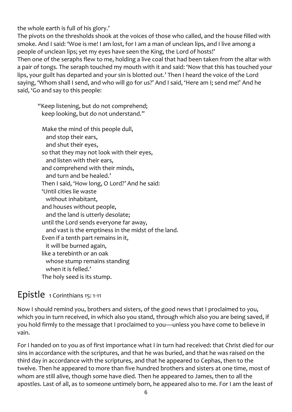the whole earth is full of his glory.'

The pivots on the thresholds shook at the voices of those who called, and the house filled with smoke. And I said: 'Woe is me! I am lost, for I am a man of unclean lips, and I live among a people of unclean lips; yet my eyes have seen the King, the Lord of hosts!' Then one of the seraphs flew to me, holding a live coal that had been taken from the altar with a pair of tongs. The seraph touched my mouth with it and said: 'Now that this has touched your lips, your guilt has departed and your sin is blotted out.' Then I heard the voice of the Lord saying, 'Whom shall I send, and who will go for us?' And I said, 'Here am I; send me!' And he said, 'Go and say to this people:

 "Keep listening, but do not comprehend; keep looking, but do not understand."

 Make the mind of this people dull, and stop their ears, and shut their eyes, so that they may not look with their eyes, and listen with their ears, and comprehend with their minds, and turn and be healed.' Then I said, 'How long, O Lord?' And he said: 'Until cities lie waste without inhabitant, and houses without people, and the land is utterly desolate; until the Lord sends everyone far away, and vast is the emptiness in the midst of the land. Even if a tenth part remains in it, it will be burned again, like a terebinth or an oak whose stump remains standing when it is felled.' The holy seed is its stump.

## Epistle 1 Corinthians 15: 1-11

Now I should remind you, brothers and sisters, of the good news that I proclaimed to you, which you in turn received, in which also you stand, through which also you are being saved, if you hold firmly to the message that I proclaimed to you—unless you have come to believe in vain.

For I handed on to you as of first importance what I in turn had received: that Christ died for our sins in accordance with the scriptures, and that he was buried, and that he was raised on the third day in accordance with the scriptures, and that he appeared to Cephas, then to the twelve. Then he appeared to more than five hundred brothers and sisters at one time, most of whom are still alive, though some have died. Then he appeared to James, then to all the apostles. Last of all, as to someone untimely born, he appeared also to me. For I am the least of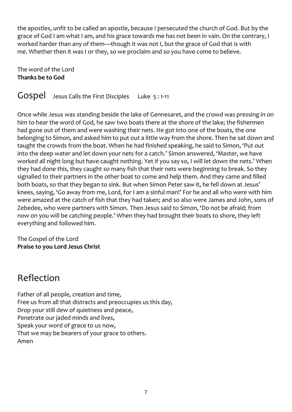the apostles, unfit to be called an apostle, because I persecuted the church of God. But by the grace of God I am what I am, and his grace towards me has not been in vain. On the contrary, I worked harder than any of them—though it was not I, but the grace of God that is with me. Whether then it was I or they, so we proclaim and so you have come to believe.

The word of the Lord **Thanks be to God**

GOSpel Jesus Calls the First Disciples Luke 5:1-11

Once while Jesus was standing beside the lake of Gennesaret, and the crowd was pressing in on him to hear the word of God, he saw two boats there at the shore of the lake; the fishermen had gone out of them and were washing their nets. He got into one of the boats, the one belonging to Simon, and asked him to put out a little way from the shore. Then he sat down and taught the crowds from the boat. When he had finished speaking, he said to Simon, 'Put out into the deep water and let down your nets for a catch.' Simon answered, 'Master, we have worked all night long but have caught nothing. Yet if you say so, I will let down the nets.' When they had done this, they caught so many fish that their nets were beginning to break. So they signalled to their partners in the other boat to come and help them. And they came and filled both boats, so that they began to sink. But when Simon Peter saw it, he fell down at Jesus' knees, saying, 'Go away from me, Lord, for I am a sinful man!' For he and all who were with him were amazed at the catch of fish that they had taken; and so also were James and John, sons of Zebedee, who were partners with Simon. Then Jesus said to Simon, 'Do not be afraid; from now on you will be catching people.' When they had brought their boats to shore, they left everything and followed him.

The Gospel of the Lord **Praise to you Lord Jesus Christ**

# Reflection

Father of all people, creation and time, Free us from all that distracts and preoccupies us this day, Drop your still dew of quietness and peace, Penetrate our jaded minds and lives, Speak your word of grace to us now, That we may be bearers of your grace to others. Amen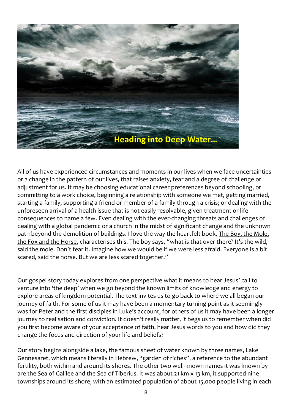

All of us have experienced circumstances and moments in our lives when we face uncertainties or a change in the pattern of our lives, that raises anxiety, fear and a degree of challenge or adjustment for us. It may be choosing educational career preferences beyond schooling, or committing to a work choice, beginning a relationship with someone we met, getting married, starting a family, supporting a friend or member of a family through a crisis; or dealing with the unforeseen arrival of a health issue that is not easily resolvable, given treatment or life consequences to name a few. Even dealing with the ever-changing threats and challenges of dealing with a global pandemic or a church in the midst of significant change and the unknown path beyond the demolition of buildings. I love the way the heartfelt book, The Boy, the Mole, the Fox and the Horse, characterises this. The boy says, "what is that over there? It's the wild, said the mole. Don't fear it. Imagine how we would be if we were less afraid. Everyone is a bit scared, said the horse. But we are less scared together."

Our gospel story today explores from one perspective what it means to hear Jesus' call to venture into 'the deep' when we go beyond the known limits of knowledge and energy to explore areas of kingdom potential. The text invites us to go back to where we all began our journey of faith. For some of us it may have been a momentary turning point as it seemingly was for Peter and the first disciples in Luke's account, for others of us it may have been a longer journey to realisation and conviction. It doesn't really matter, it begs us to remember when did you first become aware of your acceptance of faith, hear Jesus words to you and how did they change the focus and direction of your life and beliefs?

Our story begins alongside a lake, the famous sheet of water known by three names, Lake Gennesaret, which means literally in Hebrew, "garden of riches", a reference to the abundant fertility, both within and around its shores. The other two well-known names it was known by are the Sea of Galilee and the Sea of Tiberius. It was about 21 km x 13 km, it supported nine townships around its shore, with an estimated population of about 15,000 people living in each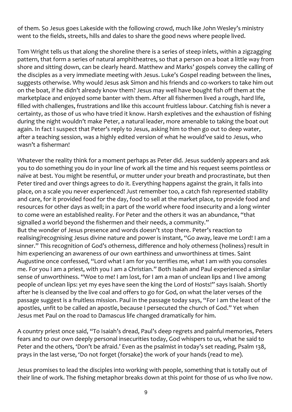of them. So Jesus goes Lakeside with the following crowd, much like John Wesley's ministry went to the fields, streets, hills and dales to share the good news where people lived.

Tom Wright tells us that along the shoreline there is a series of steep inlets, within a zigzagging pattern, that form a series of natural amphitheatres, so that a person on a boat a little way from shore and sitting down, can be clearly heard. Matthew and Marks' gospels convey the calling of the disciples as a very immediate meeting with Jesus. Luke's Gospel reading between the lines, suggests otherwise. Why would Jesus ask Simon and his friends and co-workers to take him out on the boat, if he didn't already know them? Jesus may well have bought fish off them at the marketplace and enjoyed some banter with them. After all fishermen lived a rough, hard life, filled with challenges, frustrations and like this account fruitless labour. Catching fish is never a certainty, as those of us who have tried it know. Harsh expletives and the exhaustion of fishing during the night wouldn't make Peter, a natural leader, more amenable to taking the boat out again. In fact I suspect that Peter's reply to Jesus, asking him to then go out to deep water, after a teaching session, was a highly edited version of what he would've said to Jesus, who wasn't a fisherman!

Whatever the reality think for a moment perhaps as Peter did. Jesus suddenly appears and ask you to do something you do in your line of work all the time and his request seems pointless or naïve at best. You might be resentful, or mutter under your breath and procrastinate, but then Peter tired and over things agrees to do it. Everything happens against the grain, it falls into place, on a scale you never experienced! Just remember too, a catch fish represented stability and care, for it provided food for the day, food to sell at the market place, to provide food and resources for other days as well; in a part of the world where food insecurity and a long winter to come were an established reality. For Peter and the others it was an abundance, "that signalled a world beyond the fishermen and their needs, a community." But the wonder of Jesus presence and words doesn't stop there. Peter's reaction to realising/recognising Jesus divine nature and power is instant, "Go away, leave me Lord! I am a sinner." This recognition of God's otherness, difference and holy otherness (holiness) result in him experiencing an awareness of our own earthiness and unworthiness at times. Saint Augustine once confessed, "Lord what I am for you terrifies me, what I am with you consoles me. For you I am a priest, with you I am a Christian." Both Isaiah and Paul experienced a similar sense of unworthiness. "Woe to me! I am lost, for I am a man of unclean lips and I live among people of unclean lips: yet my eyes have seen the king the Lord of Hosts!" says Isaiah. Shortly after he is cleansed by the live coal and offers to go for God, on what the later verses of the passage suggest is a fruitless mission. Paul in the passage today says, "For I am the least of the apostles, unfit to be called an apostle, because I persecuted the church of God." Yet when Jesus met Paul on the road to Damascus life changed dramatically for him.

A country priest once said, "To Isaiah's dread, Paul's deep regrets and painful memories, Peters fears and to our own deeply personal insecurities today, God whispers to us, what he said to Peter and the others, 'Don't be afraid.' Even as the psalmist in today's set reading, Psalm 138, prays in the last verse, 'Do not forget (forsake) the work of your hands (read to me).

Jesus promises to lead the disciples into working with people, something that is totally out of their line of work. The fishing metaphor breaks down at this point for those of us who live now.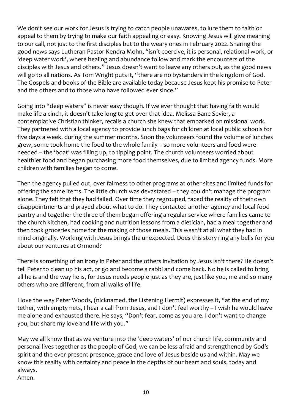We don't see our work for Jesus is trying to catch people unawares, to lure them to faith or appeal to them by trying to make our faith appealing or easy. Knowing Jesus will give meaning to our call, not just to the first disciples but to the weary ones in February 2022. Sharing the good news says Lutheran Pastor Kendra Mohn, "isn't coercive, it is personal, relational work, or 'deep water work', where healing and abundance follow and mark the encounters of the disciples with Jesus and others." Jesus doesn't want to leave any others out, as the good news will go to all nations. As Tom Wright puts it, "there are no bystanders in the kingdom of God. The Gospels and books of the Bible are available today because Jesus kept his promise to Peter and the others and to those who have followed ever since."

Going into "deep waters" is never easy though. If we ever thought that having faith would make life a cinch, it doesn't take long to get over that idea. Melissa Bane Sevier, a contemplative Christian thinker, recalls a church she knew that embarked on missional work. They partnered with a local agency to provide lunch bags for children at local public schools for five days a week, during the summer months. Soon the volunteers found the volume of lunches grew, some took home the food to the whole family – so more volunteers and food were needed – the 'boat' was filling up, to tipping point. The church volunteers worried about healthier food and began purchasing more food themselves, due to limited agency funds. More children with families began to come.

Then the agency pulled out, over fairness to other programs at other sites and limited funds for offering the same items. The little church was devastated – they couldn't manage the program alone. They felt that they had failed. Over time they regrouped, faced the reality of their own disappointments and prayed about what to do. They contacted another agency and local food pantry and together the three of them began offering a regular service where families came to the church kitchen, had cooking and nutrition lessons from a dietician, had a meal together and then took groceries home for the making of those meals. This wasn't at all what they had in mind originally. Working with Jesus brings the unexpected. Does this story ring any bells for you about our ventures at Ormond?

There is something of an irony in Peter and the others invitation by Jesus isn't there? He doesn't tell Peter to clean up his act, or go and become a rabbi and come back. No he is called to bring all he is and the way he is, for Jesus needs people just as they are, just like you, me and so many others who are different, from all walks of life.

I love the way Peter Woods, (nicknamed, the Listening Hermit) expresses it, "at the end of my tether, with empty nets, I hear a call from Jesus, and I don't feel worthy – I wish he would leave me alone and exhausted there. He says, "Don't fear, come as you are. I don't want to change you, but share my love and life with you."

May we all know that as we venture into the 'deep waters' of our church life, community and personal lives together as the people of God, we can be less afraid and strengthened by God's spirit and the ever-present presence, grace and love of Jesus beside us and within. May we know this reality with certainty and peace in the depths of our heart and souls, today and always.

Amen.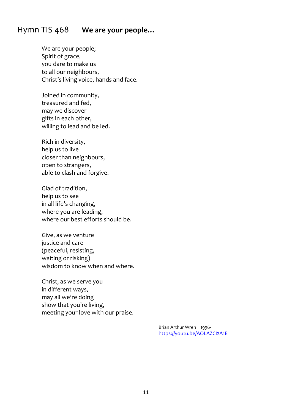## Hymn TIS 468 **We are your people…**

We are your people; Spirit of grace, you dare to make us to all our neighbours, Christ's living voice, hands and face.

Joined in community, treasured and fed, may we discover gifts in each other, willing to lead and be led.

Rich in diversity, help us to live closer than neighbours, open to strangers, able to clash and forgive.

Glad of tradition, help us to see in all life's changing, where you are leading, where our best efforts should be.

Give, as we venture justice and care (peaceful, resisting, waiting or risking) wisdom to know when and where.

Christ, as we serve you in different ways, may all we're doing show that you're living, meeting your love with our praise.

> Brian Arthur Wren 1936 <https://youtu.be/AOLAZCI2A1E>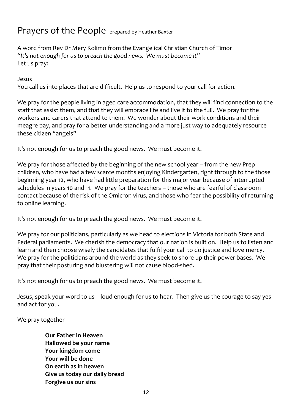# Prayers of the People prepared by Heather Baxter

A word from Rev Dr Mery Kolimo from the Evangelical Christian Church of Timor *"It's not enough for us to preach the good news. We must become it"* Let us pray:

Jesus

You call us into places that are difficult. Help us to respond to your call for action.

We pray for the people living in aged care accommodation, that they will find connection to the staff that assist them, and that they will embrace life and live it to the full. We pray for the workers and carers that attend to them. We wonder about their work conditions and their meagre pay, and pray for a better understanding and a more just way to adequately resource these citizen "angels"

It's not enough for us to preach the good news. We must become it.

We pray for those affected by the beginning of the new school year – from the new Prep children, who have had a few scarce months enjoying Kindergarten, right through to the those beginning year 12, who have had little preparation for this major year because of interrupted schedules in years 10 and 11. We pray for the teachers – those who are fearful of classroom contact because of the risk of the Omicron virus, and those who fear the possibility of returning to online learning.

It's not enough for us to preach the good news. We must become it.

We pray for our politicians, particularly as we head to elections in Victoria for both State and Federal parliaments. We cherish the democracy that our nation is built on. Help us to listen and learn and then choose wisely the candidates that fulfil your call to do justice and love mercy. We pray for the politicians around the world as they seek to shore up their power bases. We pray that their posturing and blustering will not cause blood-shed.

It's not enough for us to preach the good news. We must become it.

Jesus, speak your word to us – loud enough for us to hear. Then give us the courage to say yes and act for you.

We pray together

**Our Father in Heaven Hallowed be your name Your kingdom come Your will be done On earth as in heaven Give us today our daily bread Forgive us our sins**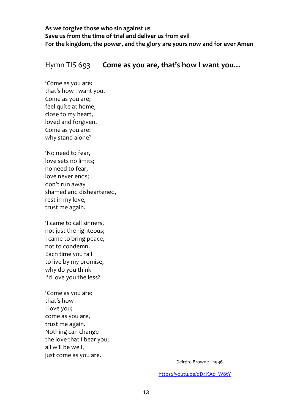**As we forgive those who sin against us Save us from the time of trial and deliver us from evil For the kingdom, the power, and the glory are yours now and for ever Amen**

#### Hymn TIS 693 **Come as you are, that's how I want you…**

'Come as you are: that's how I want you. Come as you are; feel quite at home, close to my heart, loved and forgiven. Come as you are: why stand alone?

'No need to fear, love sets no limits; no need to fear, love never ends; don't run away shamed and disheartened, rest in my love, trust me again.

'I came to call sinners, not just the righteous; I came to bring peace, not to condemn. Each time you fail to live by my promise, why do you think I'd love you the less?

'Come as you are: that's how I love you; come as you are, trust me again. Nothing can change the love that I bear you; all will be well, just come as you are.

Deirdre Browne 1936-

[https://youtu.be/qD4KAq\\_W8tY](https://youtu.be/qD4KAq_W8tY)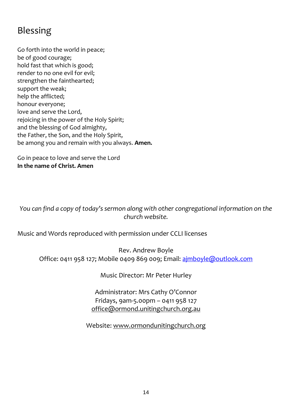# Blessing

Go forth into the world in peace; be of good courage; hold fast that which is good; render to no one evil for evil; strengthen the fainthearted; support the weak; help the afflicted; honour everyone; love and serve the Lord, rejoicing in the power of the Holy Spirit; and the blessing of God almighty, the Father, the Son, and the Holy Spirit, be among you and remain with you always. **Amen.**

Go in peace to love and serve the Lord **In the name of Christ. Amen**

*You can find a copy of today's sermon along with other congregational information on the church website.*

Music and Words reproduced with permission under CCLI licenses

Rev. Andrew Boyle Office: 0411 958 127; Mobile 0409 869 009; Email: [ajmboyle@outlook.com](mailto:ajmboyle@outlook.com)

Music Director: Mr Peter Hurley

Administrator: Mrs Cathy O'Connor Fridays, 9am-5.00pm – 0411 958 127 [office@ormond.unitingchurch.org.au](mailto:office@ormond.unitingchurch.org.au)

Website: [www.ormondunitingchurch.org](http://www.ormondunitingchurch.org/)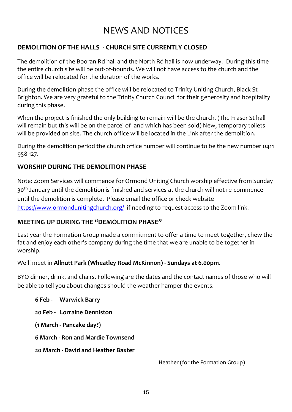# NEWS AND NOTICES

## **DEMOLITION OF THE HALLS - CHURCH SITE CURRENTLY CLOSED**

The demolition of the Booran Rd hall and the North Rd hall is now underway. During this time the entire church site will be out-of-bounds. We will not have access to the church and the office will be relocated for the duration of the works.

During the demolition phase the office will be relocated to Trinity Uniting Church, Black St Brighton. We are very grateful to the Trinity Church Council for their generosity and hospitality during this phase.

When the project is finished the only building to remain will be the church. (The Fraser St hall will remain but this will be on the parcel of land which has been sold) New, temporary toilets will be provided on site. The church office will be located in the Link after the demolition.

During the demolition period the church office number will continue to be the new number 0411 958 127.

#### **WORSHIP DURING THE DEMOLITION PHASE**

Note: Zoom Services will commence for Ormond Uniting Church worship effective from Sunday 30<sup>th</sup> January until the demolition is finished and services at the church will not re-commence until the demolition is complete. Please email the office or check website <https://www.ormondunitingchurch.org/> if needing to request access to the Zoom link.

#### **MEETING UP DURING THE "DEMOLITION PHASE"**

Last year the Formation Group made a commitment to offer a time to meet together, chew the fat and enjoy each other's company during the time that we are unable to be together in worship.

#### We'll meet in **Allnutt Park (Wheatley Road McKinnon) - Sundays at 6.00pm.**

BYO dinner, drink, and chairs. Following are the dates and the contact names of those who will be able to tell you about changes should the weather hamper the events.

**6 Feb - Warwick Barry 20 Feb - Lorraine Denniston**

**(1 March - Pancake day?)**

**6 March - Ron and Mardie Townsend**

**20 March - David and Heather Baxter**

Heather (for the Formation Group)